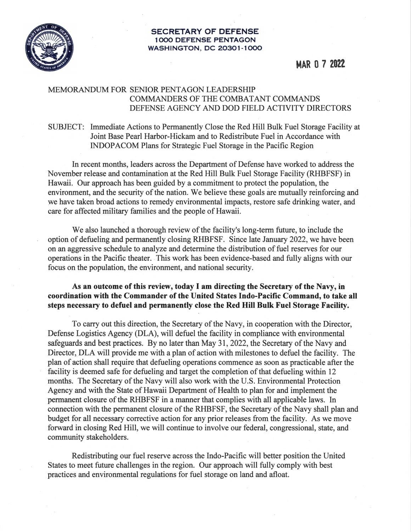

#### **SECRETARY OF DEFENSE 1000 DEFENSE PENTAGON WASHINGTON, DC 20301-1000**

# MAR O 7 **2022**

### MEMORANDUM FOR SENIOR PENTAGON LEADERSHIP COMMANDERS OF THE COMBATANT COMMANDS DEFENSE AGENCY AND DOD FIELD ACTIVITY DIRECTORS

# SUBJECT: Immediate Actions to Permanently Close the Red Hill Bulk Fuel Storage Facility at Joint Base Pearl Harbor-Hickam and to Redistribute Fuel in Accordance with INDOP ACOM Plans for Strategic Fuel Storage in the Pacific Region

In recent months, leaders across the Department of Defense have worked to address the November release and contamination at the Red Hill Bulk Fuel Storage Facility (RHBFSF) in Hawaii. Our approach has been guided by a commitment to protect the population, the environment, and the security of the nation. We believe these goals are mutually reinforcing and we have taken broad actions to remedy environmental impacts, restore safe drinking water, and care for affected military families and the people of Hawaii.

We also launched a thorough review of the facility's long-term future, to include the option of defueling and permanently closing RHBFSF. Sirice late January 2022, we have been on an aggressive schedule to analyze and determine the distribution of fuel reserves for our operations in the Pacific theater. . This work has been evidence-based and fully aligns with our focus on the population, the environment, and national security.

# **As an outcome of this review, today** I **am directing the Secretary of the Navy, in coordination with the Commander of the United States Indo-Pacific Command, to take all steps necessary to defuel and permanently close the Red Hill Bulk Fuel Storage Facility.**

To carry out this direction, the Secretary of the Navy, in cooperation with the Director, Defense Logistics Agency (DLA), will defuel the facility in compliance with environmental safeguards and best practices. By no later than May 31, 2022, the Secretary of the Navy and Director, DLA will provide me with a plan of action with milestones to defuel the facility. The plan of action shall require that defueling operations commence as soon as practicable after the facility is deemed safe for defueling and target the completion of that defueling within 12 months. The Secretary of the Navy will also work with the U.S. Environmental Protection Agency and with the State of Hawaii Department of Health to plan for and implement the permanent closure of the RHBFSF in a manner that complies with all applicable laws. In connection with the permanent closure of the RHBFSF, the Secretary of the Navy shall plan and budget for all necessary corrective action for any prior releases from the facility. As we move forward in closing Red Hill, we will continue to involve our federal, congressional, state, and community stakeholders.

Redistributing our fuel reserve across the Indo-Pacific will better position the United States to meet future challenges in the region. Our approach will fully comply with best practices and environmental regulations for fuel storage on land and afloat.